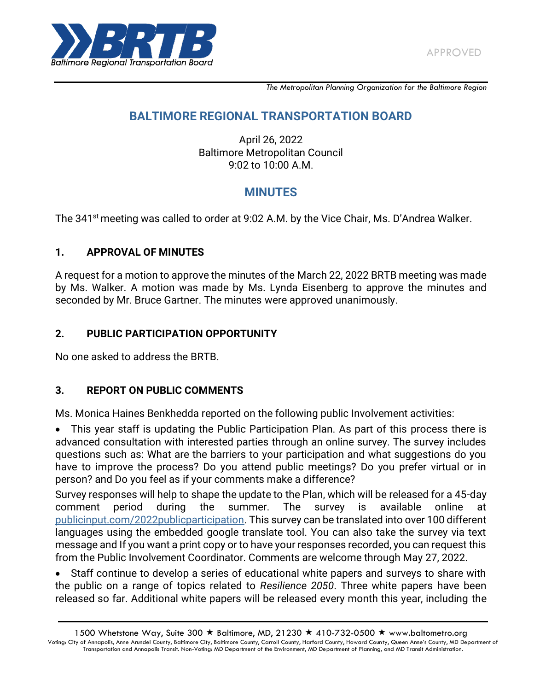

*The Metropolitan Planning Organization for the Baltimore Region*

# **BALTIMORE REGIONAL TRANSPORTATION BOARD**

April 26, 2022 Baltimore Metropolitan Council 9:02 to 10:00 A.M.

# **MINUTES**

The 341<sup>st</sup> meeting was called to order at 9:02 A.M. by the Vice Chair, Ms. D'Andrea Walker.

#### **1. APPROVAL OF MINUTES**

A request for a motion to approve the minutes of the March 22, 2022 BRTB meeting was made by Ms. Walker. A motion was made by Ms. Lynda Eisenberg to approve the minutes and seconded by Mr. Bruce Gartner. The minutes were approved unanimously.

#### **2. PUBLIC PARTICIPATION OPPORTUNITY**

No one asked to address the BRTB.

#### **3. REPORT ON PUBLIC COMMENTS**

Ms. Monica Haines Benkhedda reported on the following public Involvement activities:

 This year staff is updating the Public Participation Plan. As part of this process there is advanced consultation with interested parties through an online survey. The survey includes questions such as: What are the barriers to your participation and what suggestions do you have to improve the process? Do you attend public meetings? Do you prefer virtual or in person? and Do you feel as if your comments make a difference?

Survey responses will help to shape the update to the Plan, which will be released for a 45-day comment period during the summer. The survey is available online at [publicinput.com/2022publicparticipation.](http://www.publicinput.com/2022publicparticipation) This survey can be translated into over 100 different languages using the embedded google translate tool. You can also take the survey via text message and If you want a print copy or to have your responses recorded, you can request this from the Public Involvement Coordinator. Comments are welcome through May 27, 2022.

 Staff continue to develop a series of educational white papers and surveys to share with the public on a range of topics related to *Resilience 2050*. Three white papers have been released so far. Additional white papers will be released every month this year, including the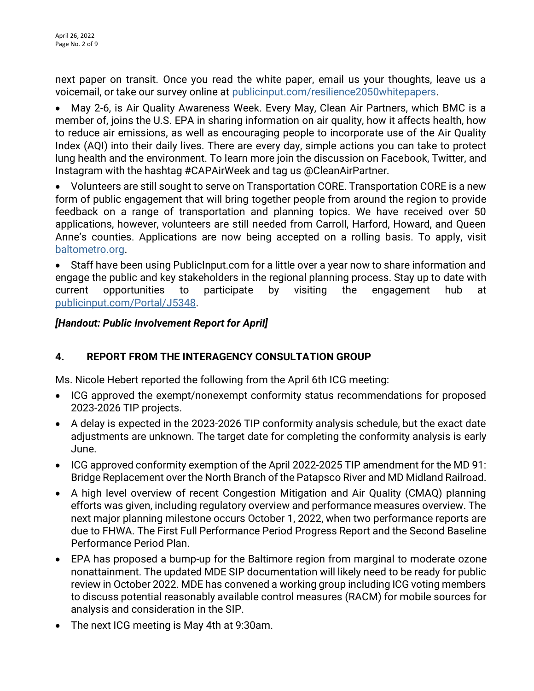next paper on transit. Once you read the white paper, email us your thoughts, leave us a voicemail, or take our survey online at [publicinput.com/resilience2050whitepapers.](https://publicinput.com/resilience2050whitepapers)

 May 2-6, is Air Quality Awareness Week. Every May, Clean Air Partners, which BMC is a member of, joins the U.S. EPA in sharing information on air quality, how it affects health, how to reduce air emissions, as well as encouraging people to incorporate use of the Air Quality Index (AQI) into their daily lives. There are every day, simple actions you can take to protect lung health and the environment. To learn more join the discussion on Facebook, Twitter, and Instagram with the hashtag #CAPAirWeek and tag us @CleanAirPartner.

 Volunteers are still sought to serve on Transportation CORE. Transportation CORE is a new form of public engagement that will bring together people from around the region to provide feedback on a range of transportation and planning topics. We have received over 50 applications, however, volunteers are still needed from Carroll, Harford, Howard, and Queen Anne's counties. Applications are now being accepted on a rolling basis. To apply, visit [baltometro.org.](http://www.baltometro.org/)

 Staff have been using PublicInput.com for a little over a year now to share information and engage the public and key stakeholders in the regional planning process. Stay up to date with current opportunities to participate by visiting the engagement hub at [publicinput.com/Portal/J5348.](https://publicinput.com/Portal/J5348)

## *[Handout: Public Involvement Report for April]*

# **4. REPORT FROM THE INTERAGENCY CONSULTATION GROUP**

Ms. Nicole Hebert reported the following from the April 6th ICG meeting:

- ICG approved the exempt/nonexempt conformity status recommendations for proposed 2023-2026 TIP projects.
- A delay is expected in the 2023-2026 TIP conformity analysis schedule, but the exact date adjustments are unknown. The target date for completing the conformity analysis is early June.
- ICG approved conformity exemption of the April 2022-2025 TIP amendment for the MD 91: Bridge Replacement over the North Branch of the Patapsco River and MD Midland Railroad.
- A high level overview of recent Congestion Mitigation and Air Quality (CMAQ) planning efforts was given, including regulatory overview and performance measures overview. The next major planning milestone occurs October 1, 2022, when two performance reports are due to FHWA. The First Full Performance Period Progress Report and the Second Baseline Performance Period Plan.
- EPA has proposed a bump-up for the Baltimore region from marginal to moderate ozone nonattainment. The updated MDE SIP documentation will likely need to be ready for public review in October 2022. MDE has convened a working group including ICG voting members to discuss potential reasonably available control measures (RACM) for mobile sources for analysis and consideration in the SIP.
- The next ICG meeting is May 4th at 9:30am.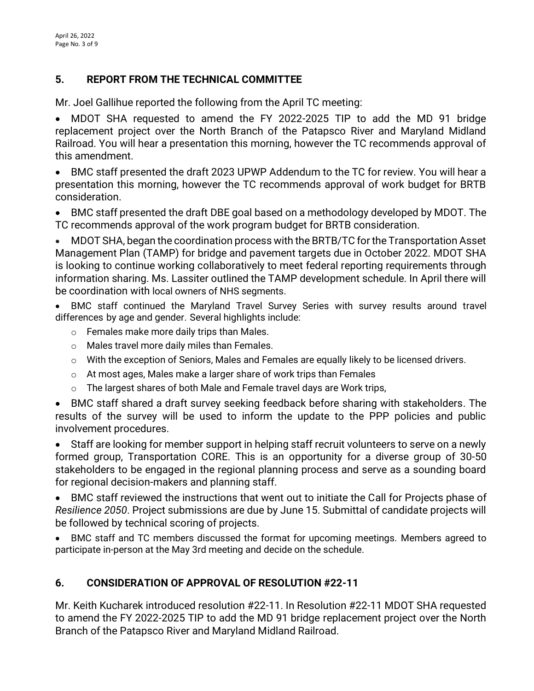# **5. REPORT FROM THE TECHNICAL COMMITTEE**

Mr. Joel Gallihue reported the following from the April TC meeting:

 MDOT SHA requested to amend the FY 2022-2025 TIP to add the MD 91 bridge replacement project over the North Branch of the Patapsco River and Maryland Midland Railroad. You will hear a presentation this morning, however the TC recommends approval of this amendment.

 BMC staff presented the draft 2023 UPWP Addendum to the TC for review. You will hear a presentation this morning, however the TC recommends approval of work budget for BRTB consideration.

 BMC staff presented the draft DBE goal based on a methodology developed by MDOT. The TC recommends approval of the work program budget for BRTB consideration.

 MDOT SHA, began the coordination process with the BRTB/TC for the Transportation Asset Management Plan (TAMP) for bridge and pavement targets due in October 2022. MDOT SHA is looking to continue working collaboratively to meet federal reporting requirements through information sharing. Ms. Lassiter outlined the TAMP development schedule. In April there will be coordination with local owners of NHS segments.

 BMC staff continued the Maryland Travel Survey Series with survey results around travel differences by age and gender. Several highlights include:

- o Females make more daily trips than Males.
- o Males travel more daily miles than Females.
- o With the exception of Seniors, Males and Females are equally likely to be licensed drivers.
- $\circ$  At most ages, Males make a larger share of work trips than Females
- o The largest shares of both Male and Female travel days are Work trips,

 BMC staff shared a draft survey seeking feedback before sharing with stakeholders. The results of the survey will be used to inform the update to the PPP policies and public involvement procedures.

 Staff are looking for member support in helping staff recruit volunteers to serve on a newly formed group, Transportation CORE. This is an opportunity for a diverse group of 30-50 stakeholders to be engaged in the regional planning process and serve as a sounding board for regional decision-makers and planning staff.

 BMC staff reviewed the instructions that went out to initiate the Call for Projects phase of *Resilience 2050*. Project submissions are due by June 15. Submittal of candidate projects will be followed by technical scoring of projects.

 BMC staff and TC members discussed the format for upcoming meetings. Members agreed to participate in-person at the May 3rd meeting and decide on the schedule.

# **6. CONSIDERATION OF APPROVAL OF RESOLUTION #22-11**

Mr. Keith Kucharek introduced resolution #22-11. In Resolution #22-11 MDOT SHA requested to amend the FY 2022-2025 TIP to add the MD 91 bridge replacement project over the North Branch of the Patapsco River and Maryland Midland Railroad.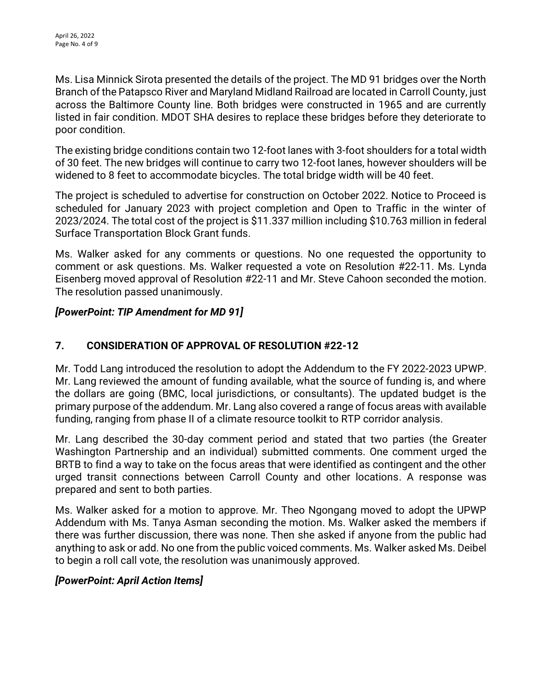Ms. Lisa Minnick Sirota presented the details of the project. The MD 91 bridges over the North Branch of the Patapsco River and Maryland Midland Railroad are located in Carroll County, just across the Baltimore County line. Both bridges were constructed in 1965 and are currently listed in fair condition. MDOT SHA desires to replace these bridges before they deteriorate to poor condition.

The existing bridge conditions contain two 12-foot lanes with 3-foot shoulders for a total width of 30 feet. The new bridges will continue to carry two 12-foot lanes, however shoulders will be widened to 8 feet to accommodate bicycles. The total bridge width will be 40 feet.

The project is scheduled to advertise for construction on October 2022. Notice to Proceed is scheduled for January 2023 with project completion and Open to Traffic in the winter of 2023/2024. The total cost of the project is \$11.337 million including \$10.763 million in federal Surface Transportation Block Grant funds.

Ms. Walker asked for any comments or questions. No one requested the opportunity to comment or ask questions. Ms. Walker requested a vote on Resolution #22-11. Ms. Lynda Eisenberg moved approval of Resolution #22-11 and Mr. Steve Cahoon seconded the motion. The resolution passed unanimously.

# *[PowerPoint: TIP Amendment for MD 91]*

# **7. CONSIDERATION OF APPROVAL OF RESOLUTION #22-12**

Mr. Todd Lang introduced the resolution to adopt the Addendum to the FY 2022-2023 UPWP. Mr. Lang reviewed the amount of funding available, what the source of funding is, and where the dollars are going (BMC, local jurisdictions, or consultants). The updated budget is the primary purpose of the addendum. Mr. Lang also covered a range of focus areas with available funding, ranging from phase II of a climate resource toolkit to RTP corridor analysis.

Mr. Lang described the 30-day comment period and stated that two parties (the Greater Washington Partnership and an individual) submitted comments. One comment urged the BRTB to find a way to take on the focus areas that were identified as contingent and the other urged transit connections between Carroll County and other locations. A response was prepared and sent to both parties.

Ms. Walker asked for a motion to approve. Mr. Theo Ngongang moved to adopt the UPWP Addendum with Ms. Tanya Asman seconding the motion. Ms. Walker asked the members if there was further discussion, there was none. Then she asked if anyone from the public had anything to ask or add. No one from the public voiced comments. Ms. Walker asked Ms. Deibel to begin a roll call vote, the resolution was unanimously approved.

#### *[PowerPoint: April Action Items]*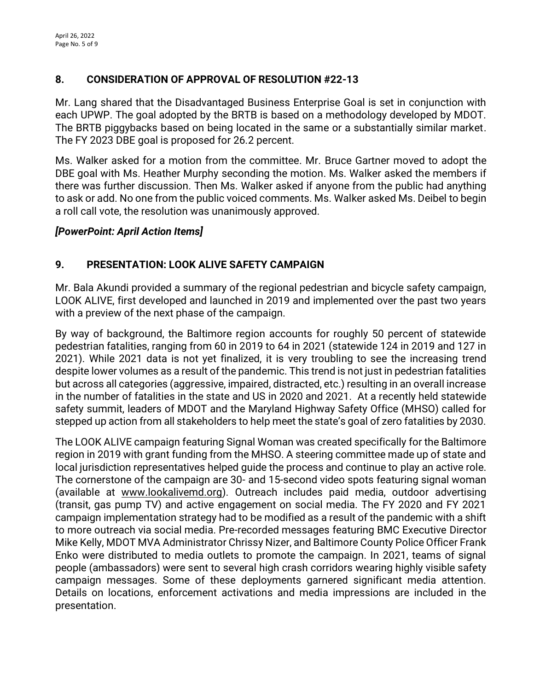# **8. CONSIDERATION OF APPROVAL OF RESOLUTION #22-13**

Mr. Lang shared that the Disadvantaged Business Enterprise Goal is set in conjunction with each UPWP. The goal adopted by the BRTB is based on a methodology developed by MDOT. The BRTB piggybacks based on being located in the same or a substantially similar market. The FY 2023 DBE goal is proposed for 26.2 percent.

Ms. Walker asked for a motion from the committee. Mr. Bruce Gartner moved to adopt the DBE goal with Ms. Heather Murphy seconding the motion. Ms. Walker asked the members if there was further discussion. Then Ms. Walker asked if anyone from the public had anything to ask or add. No one from the public voiced comments. Ms. Walker asked Ms. Deibel to begin a roll call vote, the resolution was unanimously approved.

#### *[PowerPoint: April Action Items]*

## **9. PRESENTATION: LOOK ALIVE SAFETY CAMPAIGN**

Mr. Bala Akundi provided a summary of the regional pedestrian and bicycle safety campaign, LOOK ALIVE, first developed and launched in 2019 and implemented over the past two years with a preview of the next phase of the campaign.

By way of background, the Baltimore region accounts for roughly 50 percent of statewide pedestrian fatalities, ranging from 60 in 2019 to 64 in 2021 (statewide 124 in 2019 and 127 in 2021). While 2021 data is not yet finalized, it is very troubling to see the increasing trend despite lower volumes as a result of the pandemic. This trend is not just in pedestrian fatalities but across all categories (aggressive, impaired, distracted, etc.) resulting in an overall increase in the number of fatalities in the state and US in 2020 and 2021. At a recently held statewide safety summit, leaders of MDOT and the Maryland Highway Safety Office (MHSO) called for stepped up action from all stakeholders to help meet the state's goal of zero fatalities by 2030.

The LOOK ALIVE campaign featuring Signal Woman was created specifically for the Baltimore region in 2019 with grant funding from the MHSO. A steering committee made up of state and local jurisdiction representatives helped guide the process and continue to play an active role. The cornerstone of the campaign are 30- and 15-second video spots featuring signal woman (available at [www.lookalivemd.org\)](http://www.lookalivemd.org/). Outreach includes paid media, outdoor advertising (transit, gas pump TV) and active engagement on social media. The FY 2020 and FY 2021 campaign implementation strategy had to be modified as a result of the pandemic with a shift to more outreach via social media. Pre-recorded messages featuring BMC Executive Director Mike Kelly, MDOT MVA Administrator Chrissy Nizer, and Baltimore County Police Officer Frank Enko were distributed to media outlets to promote the campaign. In 2021, teams of signal people (ambassadors) were sent to several high crash corridors wearing highly visible safety campaign messages. Some of these deployments garnered significant media attention. Details on locations, enforcement activations and media impressions are included in the presentation.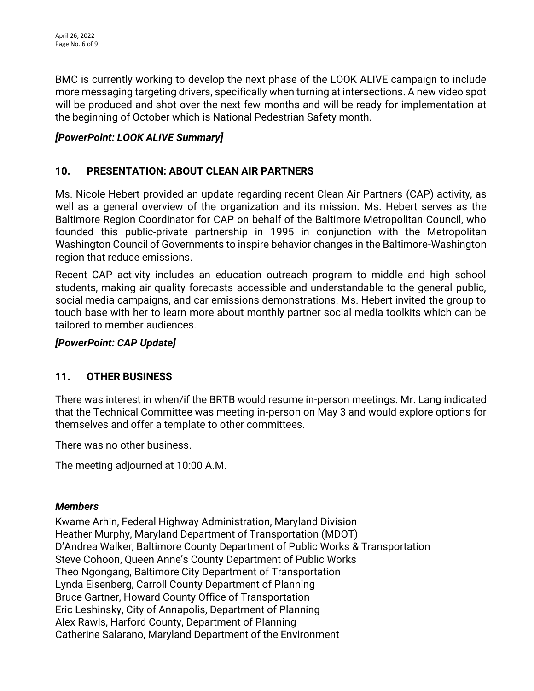BMC is currently working to develop the next phase of the LOOK ALIVE campaign to include more messaging targeting drivers, specifically when turning at intersections. A new video spot will be produced and shot over the next few months and will be ready for implementation at the beginning of October which is National Pedestrian Safety month.

# *[PowerPoint: LOOK ALIVE Summary]*

### **10. PRESENTATION: ABOUT CLEAN AIR PARTNERS**

Ms. Nicole Hebert provided an update regarding recent Clean Air Partners (CAP) activity, as well as a general overview of the organization and its mission. Ms. Hebert serves as the Baltimore Region Coordinator for CAP on behalf of the Baltimore Metropolitan Council, who founded this public-private partnership in 1995 in conjunction with the Metropolitan Washington Council of Governments to inspire behavior changes in the Baltimore-Washington region that reduce emissions.

Recent CAP activity includes an education outreach program to middle and high school students, making air quality forecasts accessible and understandable to the general public, social media campaigns, and car emissions demonstrations. Ms. Hebert invited the group to touch base with her to learn more about monthly partner social media toolkits which can be tailored to member audiences.

#### *[PowerPoint: CAP Update]*

# **11. OTHER BUSINESS**

There was interest in when/if the BRTB would resume in-person meetings. Mr. Lang indicated that the Technical Committee was meeting in-person on May 3 and would explore options for themselves and offer a template to other committees.

There was no other business.

The meeting adjourned at 10:00 A.M.

#### *Members*

Kwame Arhin, Federal Highway Administration, Maryland Division Heather Murphy, Maryland Department of Transportation (MDOT) D'Andrea Walker, Baltimore County Department of Public Works & Transportation Steve Cohoon, Queen Anne's County Department of Public Works Theo Ngongang, Baltimore City Department of Transportation Lynda Eisenberg, Carroll County Department of Planning Bruce Gartner, Howard County Office of Transportation Eric Leshinsky, City of Annapolis, Department of Planning Alex Rawls, Harford County, Department of Planning Catherine Salarano, Maryland Department of the Environment